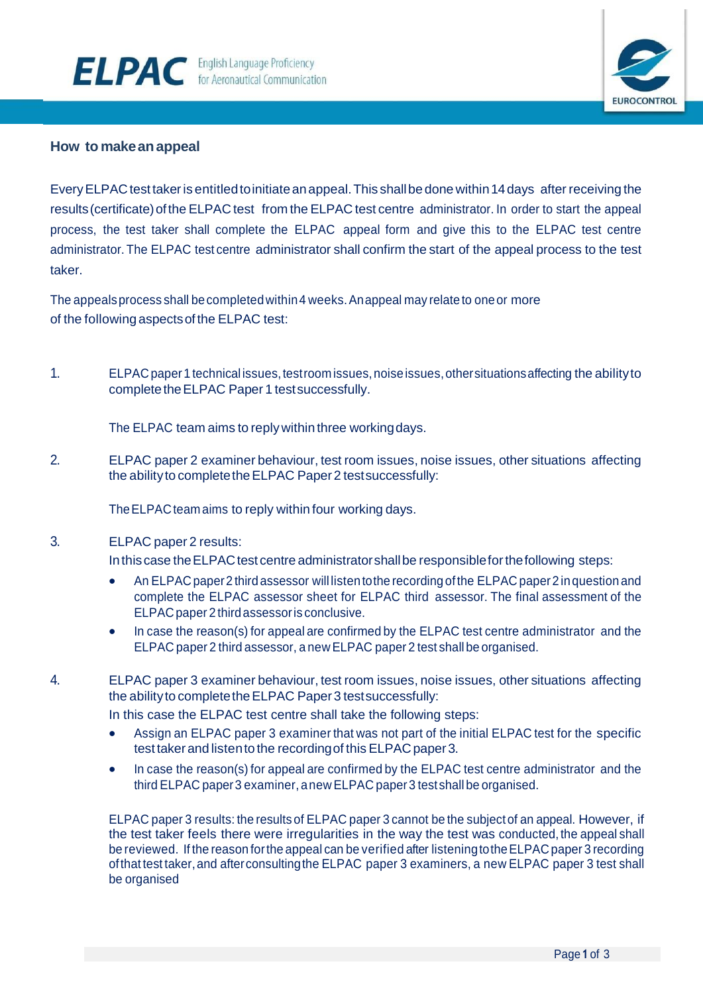

## **How to makeanappeal**

Every ELPAC test taker is entitled to initiate an appeal. This shall be done within 14 days after receiving the results (certificate) of the ELPAC test from the ELPAC test centre administrator. In order to start the appeal process, the test taker shall complete the ELPAC appeal form and give this to the ELPAC test centre administrator. The ELPAC test centre administrator shall confirm the start of the appeal process to the test taker.

The appeals process shall be completed within 4 weeks. Anappeal may relate to one or more of the followingaspectsofthe ELPAC test:

1. ELPAC paper 1 technical issues, test room issues, noise issues, other situations affecting the ability to complete the ELPAC Paper 1 test successfully.

The ELPAC team aims to reply within three working days.

2. ELPAC paper 2 examiner behaviour, test room issues, noise issues, other situations affecting the ability to complete the ELPAC Paper 2 test successfully:

The ELPAC team aims to reply within four working days.

## 3. ELPAC paper 2 results:

In this case the ELPAC test centre administrator shall be responsible for the following steps:

- An ELPAC paper 2 third assessor will listen to the recording of the ELPAC paper 2 in question and complete the ELPAC assessor sheet for ELPAC third assessor. The final assessment of the ELPACpaper 2 thirdassessoris conclusive.
- In case the reason(s) for appeal are confirmed by the ELPAC test centre administrator and the ELPAC paper 2 third assessor, a new ELPAC paper 2 test shall be organised.
- 4. ELPAC paper 3 examiner behaviour, test room issues, noise issues, other situations affecting the ability to complete the ELPAC Paper 3 test successfully:

In this case the ELPAC test centre shall take the following steps:

- Assign an ELPAC paper 3 examiner that was not part of the initial ELPAC test for the specific test takerand listento the recordingof this ELPAC paper 3.
- In case the reason(s) for appeal are confirmed by the ELPAC test centre administrator and the third ELPAC paper3 examiner, anew ELPAC paper3 testshall be organised.

ELPAC paper 3 results: the results of ELPAC paper 3 cannot be the subject of an appeal. However, if the test taker feels there were irregularities in the way the test was conducted, the appeal shall be reviewed. If the reason for the appeal can be verified after listening to the ELPAC paper 3 recording ofthat test taker,and afterconsultingthe ELPAC paper 3 examiners, a new ELPAC paper 3 test shall be organised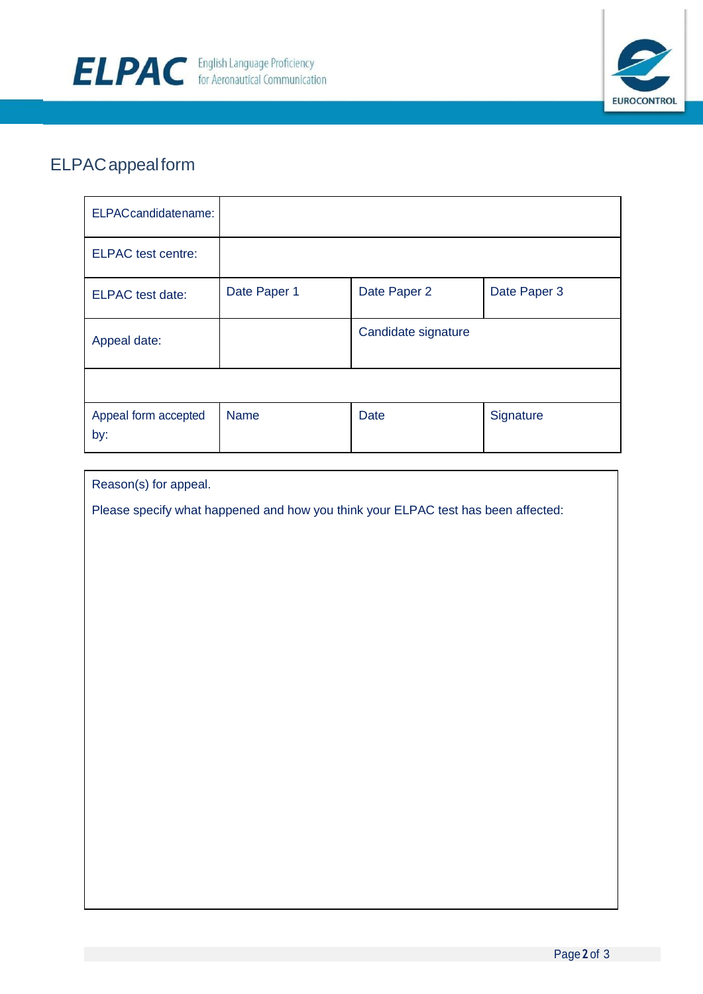



## ELPACappealform

| ELPACcandidatename:         |              |                     |              |
|-----------------------------|--------------|---------------------|--------------|
| <b>ELPAC</b> test centre:   |              |                     |              |
| <b>ELPAC</b> test date:     | Date Paper 1 | Date Paper 2        | Date Paper 3 |
| Appeal date:                |              | Candidate signature |              |
|                             |              |                     |              |
| Appeal form accepted<br>by: | <b>Name</b>  | <b>Date</b>         | Signature    |

| Reason(s) for appeal. |  |
|-----------------------|--|
|-----------------------|--|

Please specify what happened and how you think your ELPAC test has been affected: